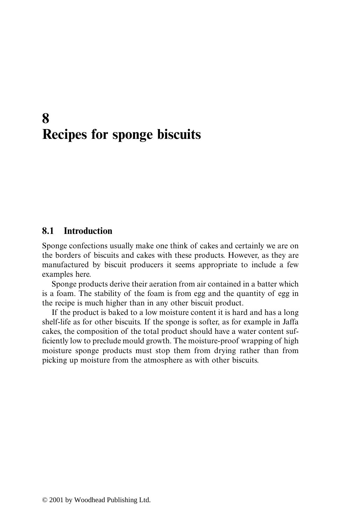## **8 Recipes for sponge biscuits**

## **8.1 Introduction**

Sponge confections usually make one think of cakes and certainly we are on the borders of biscuits and cakes with these products. However, as they are manufactured by biscuit producers it seems appropriate to include a few examples here.

Sponge products derive their aeration from air contained in a batter which is a foam. The stability of the foam is from egg and the quantity of egg in the recipe is much higher than in any other biscuit product.

If the product is baked to a low moisture content it is hard and has a long shelf-life as for other biscuits. If the sponge is softer, as for example in Jaffa cakes, the composition of the total product should have a water content sufficiently low to preclude mould growth. The moisture-proof wrapping of high moisture sponge products must stop them from drying rather than from picking up moisture from the atmosphere as with other biscuits.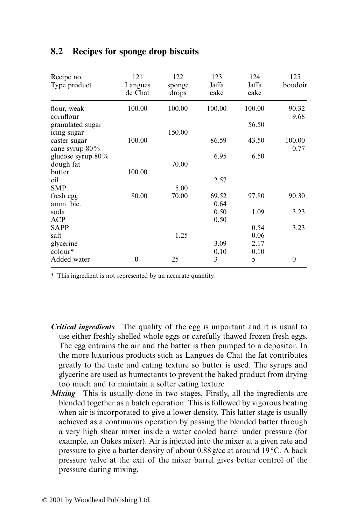| Recipe no.<br>Type product        | 121<br>Langues<br>de Chat | 122<br>sponge<br>drops | 123<br>Jaffa<br>cake | 124<br>Jaffa<br>cake | 125<br>boudoir |
|-----------------------------------|---------------------------|------------------------|----------------------|----------------------|----------------|
| flour, weak<br>cornflour          | 100.00                    | 100.00                 | 100.00               | 100.00               | 90.32<br>9.68  |
| granulated sugar                  |                           |                        |                      | 56.50                |                |
| icing sugar                       |                           | 150.00                 |                      |                      |                |
| caster sugar<br>cane syrup $80\%$ | 100.00                    |                        | 86.59                | 43.50                | 100.00<br>0.77 |
| glucose syrup 80%                 |                           |                        | 6.95                 | 6.50                 |                |
| dough fat                         |                           | 70.00                  |                      |                      |                |
| butter                            | 100.00                    |                        |                      |                      |                |
| oil                               |                           |                        | 2.57                 |                      |                |
| <b>SMP</b>                        |                           | 5.00                   |                      |                      |                |
| fresh egg                         | 80.00                     | 70.00                  | 69.52                | 97.80                | 90.30          |
| amm. bic.                         |                           |                        | 0.64                 |                      |                |
| soda                              |                           |                        | 0.50                 | 1.09                 | 3.23           |
| ACP                               |                           |                        | 0.50                 |                      |                |
| <b>SAPP</b>                       |                           |                        |                      | 0.54                 | 3.23           |
| salt                              |                           | 1.25                   |                      | 0.06                 |                |
| glycerine                         |                           |                        | 3.09                 | 2.17                 |                |
| colour*                           |                           |                        | 0.10                 | 0.10                 |                |
| Added water                       | $\theta$                  | 25                     | 3                    | 5                    | $\theta$       |

## **8.2 Recipes for sponge drop biscuits**

\* This ingredient is not represented by an accurate quantity.

- *Critical ingredients* The quality of the egg is important and it is usual to use either freshly shelled whole eggs or carefully thawed frozen fresh eggs. The egg entrains the air and the batter is then pumped to a depositor. In the more luxurious products such as Langues de Chat the fat contributes greatly to the taste and eating texture so butter is used. The syrups and glycerine are used as humectants to prevent the baked product from drying too much and to maintain a softer eating texture.
- *Mixing* This is usually done in two stages. Firstly, all the ingredients are blended together as a batch operation. This is followed by vigorous beating when air is incorporated to give a lower density. This latter stage is usually achieved as a continuous operation by passing the blended batter through a very high shear mixer inside a water cooled barrel under pressure (for example, an Oakes mixer). Air is injected into the mixer at a given rate and pressure to give a batter density of about 0.88 g/cc at around 19 °C. A back pressure valve at the exit of the mixer barrel gives better control of the pressure during mixing.